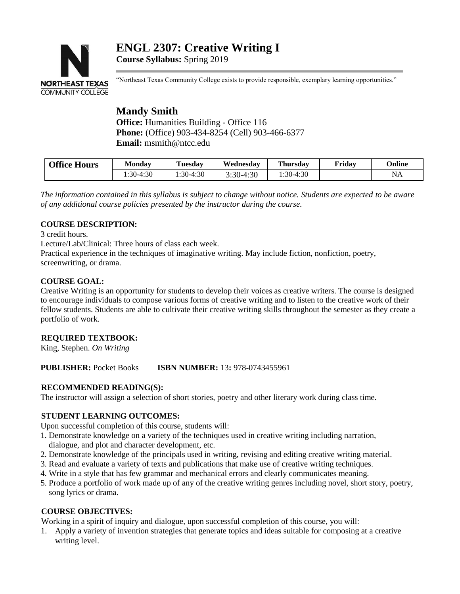# **ENGL 2307: Creative Writing I Course Syllabus:** Spring 2019



"Northeast Texas Community College exists to provide responsible, exemplary learning opportunities."

## **Mandy Smith Office:** Humanities Building - Office 116 **Phone:** (Office) 903-434-8254 (Cell) 903-466-6377 **Email:** msmith@ntcc.edu

| <b>Office Hours</b> | Mondav     | <b>Tuesday</b> | Wednesdav | <b>Thursday</b> | Friday | <b>Online</b> |
|---------------------|------------|----------------|-----------|-----------------|--------|---------------|
|                     | $:30-4:30$ | $:30-4:30$     | :30-4:30  | :30-4:30        |        | NA            |

*The information contained in this syllabus is subject to change without notice. Students are expected to be aware of any additional course policies presented by the instructor during the course.*

## **COURSE DESCRIPTION:**

3 credit hours.

Lecture/Lab/Clinical: Three hours of class each week.

Practical experience in the techniques of imaginative writing. May include fiction, nonfiction, poetry, screenwriting, or drama.

## **COURSE GOAL:**

Creative Writing is an opportunity for students to develop their voices as creative writers. The course is designed to encourage individuals to compose various forms of creative writing and to listen to the creative work of their fellow students. Students are able to cultivate their creative writing skills throughout the semester as they create a portfolio of work.

## **REQUIRED TEXTBOOK:**

King, Stephen. *On Writing*

## **PUBLISHER:** Pocket Books **ISBN NUMBER:** 13**:** 978-0743455961

## **RECOMMENDED READING(S):**

The instructor will assign a selection of short stories, poetry and other literary work during class time.

## **STUDENT LEARNING OUTCOMES:**

Upon successful completion of this course, students will:

- 1. Demonstrate knowledge on a variety of the techniques used in creative writing including narration, dialogue, and plot and character development, etc.
- 2. Demonstrate knowledge of the principals used in writing, revising and editing creative writing material.
- 3. Read and evaluate a variety of texts and publications that make use of creative writing techniques.
- 4. Write in a style that has few grammar and mechanical errors and clearly communicates meaning.
- 5. Produce a portfolio of work made up of any of the creative writing genres including novel, short story, poetry, song lyrics or drama.

## **COURSE OBJECTIVES:**

Working in a spirit of inquiry and dialogue, upon successful completion of this course, you will:

1. Apply a variety of invention strategies that generate topics and ideas suitable for composing at a creative writing level.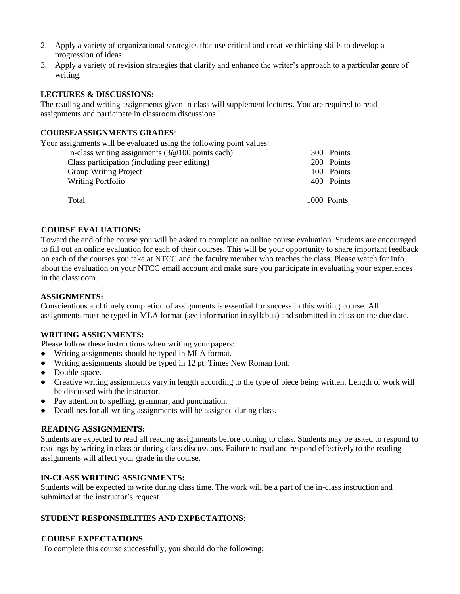- 2. Apply a variety of organizational strategies that use critical and creative thinking skills to develop a progression of ideas.
- 3. Apply a variety of revision strategies that clarify and enhance the writer's approach to a particular genre of writing.

## **LECTURES & DISCUSSIONS:**

The reading and writing assignments given in class will supplement lectures. You are required to read assignments and participate in classroom discussions.

#### **COURSE/ASSIGNMENTS GRADES**:

Your assignments will be evaluated using the following point values:

| In-class writing assignments $(3@100)$ points each) | 300 Points  |
|-----------------------------------------------------|-------------|
| Class participation (including peer editing)        | 200 Points  |
| <b>Group Writing Project</b>                        | 100 Points  |
| <b>Writing Portfolio</b>                            | 400 Points  |
|                                                     |             |
| Total                                               | 1000 Points |

#### **COURSE EVALUATIONS:**

Toward the end of the course you will be asked to complete an online course evaluation. Students are encouraged to fill out an online evaluation for each of their courses. This will be your opportunity to share important feedback on each of the courses you take at NTCC and the faculty member who teaches the class. Please watch for info about the evaluation on your NTCC email account and make sure you participate in evaluating your experiences in the classroom.

#### **ASSIGNMENTS:**

Conscientious and timely completion of assignments is essential for success in this writing course. All assignments must be typed in MLA format (see information in syllabus) and submitted in class on the due date.

#### **WRITING ASSIGNMENTS:**

Please follow these instructions when writing your papers:

- Writing assignments should be typed in MLA format.
- Writing assignments should be typed in 12 pt. Times New Roman font.
- Double-space.
- Creative writing assignments vary in length according to the type of piece being written. Length of work will be discussed with the instructor.
- Pay attention to spelling, grammar, and punctuation.
- Deadlines for all writing assignments will be assigned during class.

#### **READING ASSIGNMENTS:**

Students are expected to read all reading assignments before coming to class. Students may be asked to respond to readings by writing in class or during class discussions. Failure to read and respond effectively to the reading assignments will affect your grade in the course.

#### **IN-CLASS WRITING ASSIGNMENTS:**

Students will be expected to write during class time. The work will be a part of the in-class instruction and submitted at the instructor's request.

#### **STUDENT RESPONSIBLITIES AND EXPECTATIONS:**

#### **COURSE EXPECTATIONS**:

To complete this course successfully, you should do the following: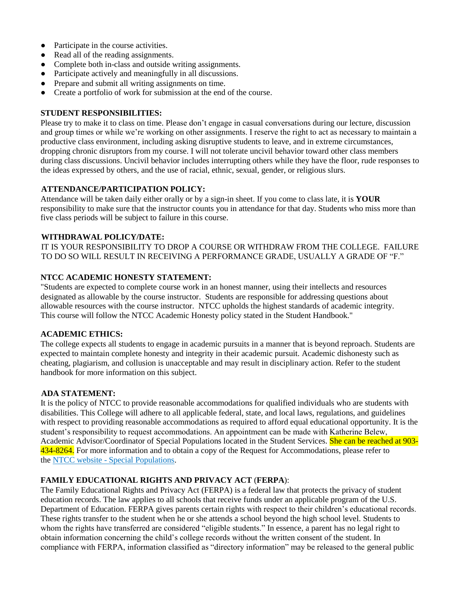- Participate in the course activities.
- Read all of the reading assignments.
- Complete both in-class and outside writing assignments.
- Participate actively and meaningfully in all discussions.
- Prepare and submit all writing assignments on time.
- Create a portfolio of work for submission at the end of the course.

#### **STUDENT RESPONSIBILITIES:**

Please try to make it to class on time. Please don't engage in casual conversations during our lecture, discussion and group times or while we're working on other assignments. I reserve the right to act as necessary to maintain a productive class environment, including asking disruptive students to leave, and in extreme circumstances, dropping chronic disruptors from my course. I will not tolerate uncivil behavior toward other class members during class discussions. Uncivil behavior includes interrupting others while they have the floor, rude responses to the ideas expressed by others, and the use of racial, ethnic, sexual, gender, or religious slurs.

## **ATTENDANCE/PARTICIPATION POLICY:**

Attendance will be taken daily either orally or by a sign-in sheet. If you come to class late, it is **YOUR**  responsibility to make sure that the instructor counts you in attendance for that day. Students who miss more than five class periods will be subject to failure in this course.

### **WITHDRAWAL POLICY/DATE:**

IT IS YOUR RESPONSIBILITY TO DROP A COURSE OR WITHDRAW FROM THE COLLEGE. FAILURE TO DO SO WILL RESULT IN RECEIVING A PERFORMANCE GRADE, USUALLY A GRADE OF "F."

### **NTCC ACADEMIC HONESTY STATEMENT:**

"Students are expected to complete course work in an honest manner, using their intellects and resources designated as allowable by the course instructor. Students are responsible for addressing questions about allowable resources with the course instructor. NTCC upholds the highest standards of academic integrity. This course will follow the NTCC Academic Honesty policy stated in the Student Handbook."

## **ACADEMIC ETHICS:**

The college expects all students to engage in academic pursuits in a manner that is beyond reproach. Students are expected to maintain complete honesty and integrity in their academic pursuit. Academic dishonesty such as cheating, plagiarism, and collusion is unacceptable and may result in disciplinary action. Refer to the student handbook for more information on this subject.

## **ADA STATEMENT:**

It is the policy of NTCC to provide reasonable accommodations for qualified individuals who are students with disabilities. This College will adhere to all applicable federal, state, and local laws, regulations, and guidelines with respect to providing reasonable accommodations as required to afford equal educational opportunity. It is the student's responsibility to request accommodations. An appointment can be made with Katherine Belew, Academic Advisor/Coordinator of Special Populations located in the Student Services. She can be reached at 903-434-8264. For more information and to obtain a copy of the Request for Accommodations, please refer to the NTCC website - [Special Populations.](http://www.ntcc.edu/index.php?module=Pagesetter&func=viewpub&tid=111&pid=1)

## **FAMILY EDUCATIONAL RIGHTS AND PRIVACY ACT** (**FERPA**):

The Family Educational Rights and Privacy Act (FERPA) is a federal law that protects the privacy of student education records. The law applies to all schools that receive funds under an applicable program of the U.S. Department of Education. FERPA gives parents certain rights with respect to their children's educational records. These rights transfer to the student when he or she attends a school beyond the high school level. Students to whom the rights have transferred are considered "eligible students." In essence, a parent has no legal right to obtain information concerning the child's college records without the written consent of the student. In compliance with FERPA, information classified as "directory information" may be released to the general public